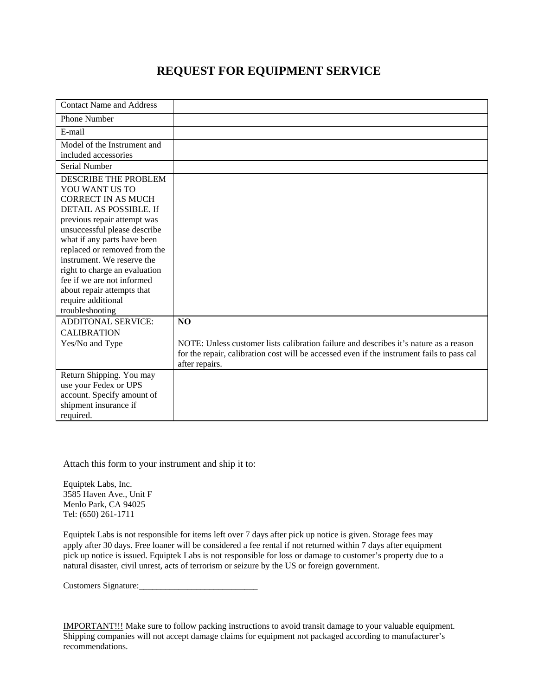## **REQUEST FOR EQUIPMENT SERVICE**

| <b>Contact Name and Address</b> |                                                                                            |
|---------------------------------|--------------------------------------------------------------------------------------------|
| <b>Phone Number</b>             |                                                                                            |
| E-mail                          |                                                                                            |
| Model of the Instrument and     |                                                                                            |
| included accessories            |                                                                                            |
| Serial Number                   |                                                                                            |
| <b>DESCRIBE THE PROBLEM</b>     |                                                                                            |
| YOU WANT US TO                  |                                                                                            |
| <b>CORRECT IN AS MUCH</b>       |                                                                                            |
| DETAIL AS POSSIBLE. If          |                                                                                            |
| previous repair attempt was     |                                                                                            |
| unsuccessful please describe    |                                                                                            |
| what if any parts have been     |                                                                                            |
| replaced or removed from the    |                                                                                            |
| instrument. We reserve the      |                                                                                            |
| right to charge an evaluation   |                                                                                            |
| fee if we are not informed      |                                                                                            |
| about repair attempts that      |                                                                                            |
| require additional              |                                                                                            |
| troubleshooting                 |                                                                                            |
| <b>ADDITONAL SERVICE:</b>       | NO                                                                                         |
| <b>CALIBRATION</b>              |                                                                                            |
| Yes/No and Type                 | NOTE: Unless customer lists calibration failure and describes it's nature as a reason      |
|                                 | for the repair, calibration cost will be accessed even if the instrument fails to pass cal |
|                                 | after repairs.                                                                             |
| Return Shipping. You may        |                                                                                            |
| use your Fedex or UPS           |                                                                                            |
| account. Specify amount of      |                                                                                            |
| shipment insurance if           |                                                                                            |
| required.                       |                                                                                            |

Attach this form to your instrument and ship it to:

Equiptek Labs, Inc. 3585 Haven Ave., Unit F Menlo Park, CA 94025 Tel: (650) 261-1711

Equiptek Labs is not responsible for items left over 7 days after pick up notice is given. Storage fees may apply after 30 days. Free loaner will be considered a fee rental if not returned within 7 days after equipment pick up notice is issued. Equiptek Labs is not responsible for loss or damage to customer's property due to a natural disaster, civil unrest, acts of terrorism or seizure by the US or foreign government.

Customers Signature:

IMPORTANT!!! Make sure to follow packing instructions to avoid transit damage to your valuable equipment. Shipping companies will not accept damage claims for equipment not packaged according to manufacturer's recommendations.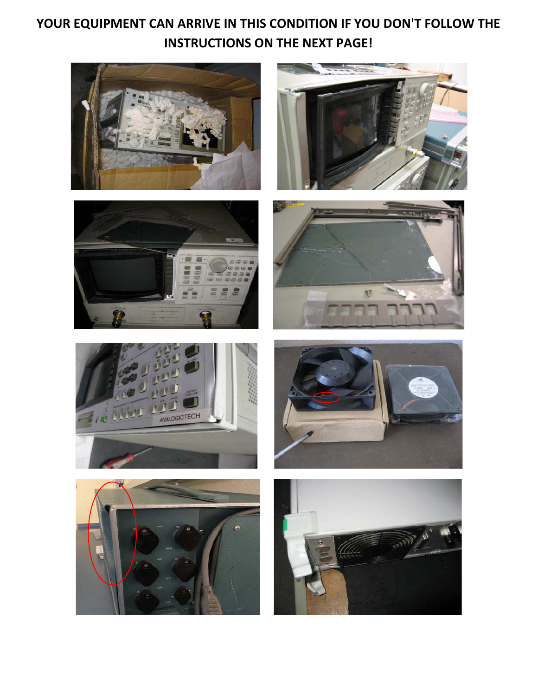# **YOUR EQUIPMENT CAN ARRIVE IN THIS CONDITION IF YOU DON'T FOLLOW THE INSTRUCTIONS ON THE NEXT PAGE!**















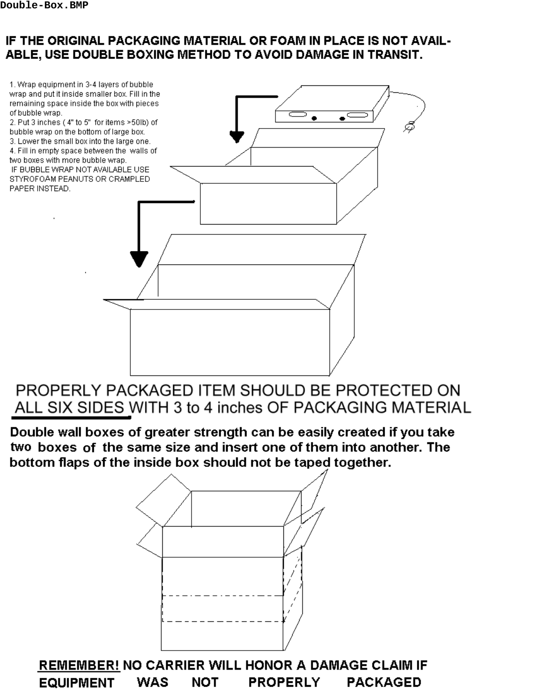## IF THE ORIGINAL PACKAGING MATERIAL OR FOAM IN PLACE IS NOT AVAIL-ABLE, USE DOUBLE BOXING METHOD TO AVOID DAMAGE IN TRANSIT.

1. Wrap equipment in 3-4 layers of bubble wrap and put it inside smaller box. Fill in the remaining space inside the box with pieces of bubble wrap. 2. Put 3 inches (4" to 5" for items >50lb) of bubble wrap on the bottom of large box. 3. Lower the small box into the large one. 4. Fill in empty space between the walls of two boxes with more bubble wrap. IF BUBBLE WRAP NOT AVAILABLE USE STYROFOAM PEANUTS OR CRAMPLED PAPER INSTEAD.

## PROPERLY PACKAGED ITEM SHOULD BE PROTECTED ON ALL SIX SIDES WITH 3 to 4 inches OF PACKAGING MATERIAL

Double wall boxes of greater strength can be easily created if you take two boxes of the same size and insert one of them into another. The bottom flaps of the inside box should not be taped together.



REMEMBER! NO CARRIER WILL HONOR A DAMAGE CLAIM IF **PROPERLY EQUIPMENT WAS NOT PACKAGED**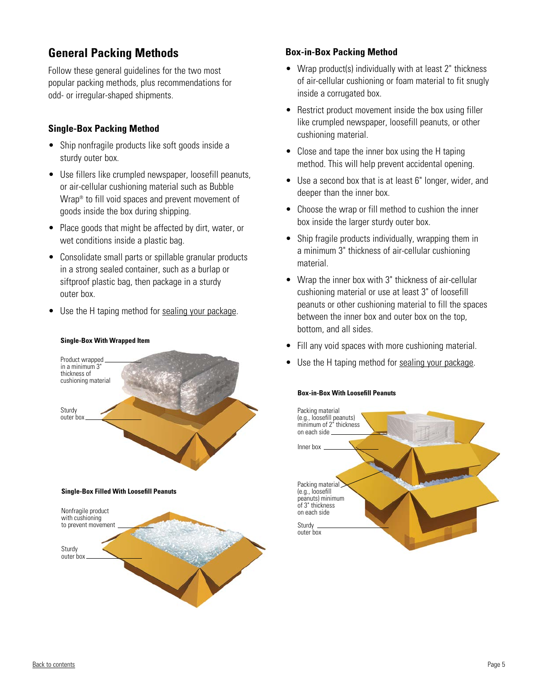## **General Packing Methods**

Follow these general guidelines for the two most popular packing methods, plus recommendations for odd- or irregular-shaped shipments.

## **Single-Box Packing Method**

- Ship nonfragile products like soft goods inside a sturdy outer box.
- Use fillers like crumpled newspaper, loosefill peanuts, or air-cellular cushioning material such as Bubble Wrap<sup>®</sup> to fill void spaces and prevent movement of goods inside the box during shipping.
- Place goods that might be affected by dirt, water, or wet conditions inside a plastic bag.
- Consolidate small parts or spillable granular products in a strong sealed container, such as a burlap or siftproof plastic bag, then package in a sturdy outer box.
- Use the H taping method for sealing your package.

**Single-Box With Wrapped Item**

# Nonfragile product with cushioning to prevent movement **Single-Box Filled With Loosefill Peanuts** Sturdy outer box Product wrapped in a minimum 3' thickness of cushioning material Sturdy outer box

### **Box-in-Box Packing Method**

- Wrap product(s) individually with at least 2" thickness of air-cellular cushioning or foam material to fit snugly inside a corrugated box.
- Restrict product movement inside the box using filler like crumpled newspaper, loosefill peanuts, or other cushioning material.
- Close and tape the inner box using the H taping method. This will help prevent accidental opening.
- Use a second box that is at least 6" longer, wider, and deeper than the inner box.
- Choose the wrap or fill method to cushion the inner box inside the larger sturdy outer box.
- Ship fragile products individually, wrapping them in a minimum 3" thickness of air-cellular cushioning material.
- Wrap the inner box with 3" thickness of air-cellular cushioning material or use at least 3" of loosefill peanuts or other cushioning material to fill the spaces between the inner box and outer box on the top, bottom, and all sides.
- Fill any void spaces with more cushioning material.
- Use the H taping method for sealing your package.

### **Box-in-Box With Loosefill Peanuts**